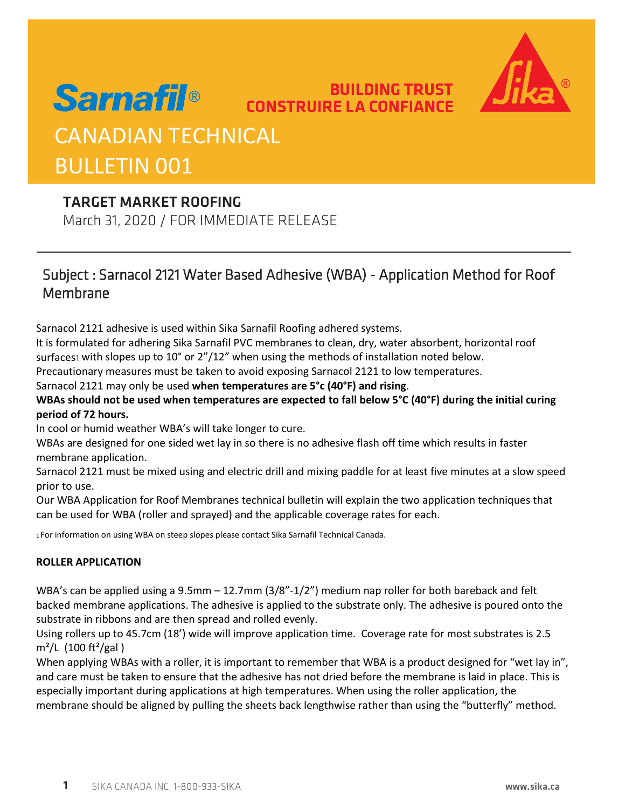

## **Sarnafil<sup>®</sup> CONSTRUIRE LA CONFIANCE** CANADIAN TECHNICAL BULLETIN 001

## TARGET MARKET ROOFING

March 31, 2020 / FOR IMMEDIATE RELEASE

## Subject : Sarnacol 2121 Water Based Adhesive (WBA) - Application Method for Roof Membrane

**BUILDING TRUST** 

Sarnacol 2121 adhesive is used within Sika Sarnafil Roofing adhered systems.

It is formulated for adhering Sika Sarnafil PVC membranes to clean, dry, water absorbent, horizontal roof surfaces1 with slopes up to 10° or 2"/12" when using the methods of installation noted below.

Precautionary measures must be taken to avoid exposing Sarnacol 2121 to low temperatures.

#### Sarnacol 2121 may only be used **when temperatures are 5°c (40°F) and rising**.

### **WBAs should not be used when temperatures are expected to fall below 5°C (40°F) during the initial curing period of 72 hours.**

In cool or humid weather WBA's will take longer to cure.

WBAs are designed for one sided wet lay in so there is no adhesive flash off time which results in faster membrane application.

Sarnacol 2121 must be mixed using and electric drill and mixing paddle for at least five minutes at a slow speed prior to use.

Our WBA Application for Roof Membranes technical bulletin will explain the two application techniques that can be used for WBA (roller and sprayed) and the applicable coverage rates for each.

1 For information on using WBA on steep slopes please contact Sika Sarnafil Technical Canada.

#### **ROLLER APPLICATION**

WBA's can be applied using a 9.5mm – 12.7mm (3/8"-1/2") medium nap roller for both bareback and felt backed membrane applications. The adhesive is applied to the substrate only. The adhesive is poured onto the substrate in ribbons and are then spread and rolled evenly.

Using rollers up to 45.7cm (18') wide will improve application time. Coverage rate for most substrates is 2.5  $m^2/L$  (100 ft<sup>2</sup>/gal)

When applying WBAs with a roller, it is important to remember that WBA is a product designed for "wet lay in", and care must be taken to ensure that the adhesive has not dried before the membrane is laid in place. This is especially important during applications at high temperatures. When using the roller application, the membrane should be aligned by pulling the sheets back lengthwise rather than using the "butterfly" method.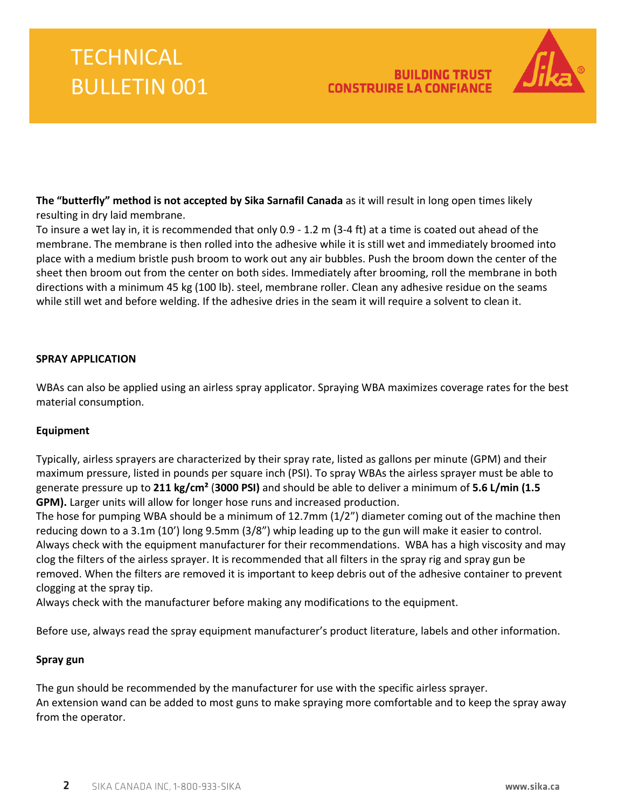### **BUILDING TRUST CONSTRUIRE LA CONFIANCE**



**The "butterfly" method is not accepted by Sika Sarnafil Canada** as it will result in long open times likely resulting in dry laid membrane.

To insure a wet lay in, it is recommended that only 0.9 - 1.2 m (3-4 ft) at a time is coated out ahead of the membrane. The membrane is then rolled into the adhesive while it is still wet and immediately broomed into place with a medium bristle push broom to work out any air bubbles. Push the broom down the center of the sheet then broom out from the center on both sides. Immediately after brooming, roll the membrane in both directions with a minimum 45 kg (100 lb). steel, membrane roller. Clean any adhesive residue on the seams while still wet and before welding. If the adhesive dries in the seam it will require a solvent to clean it.

#### **SPRAY APPLICATION**

WBAs can also be applied using an airless spray applicator. Spraying WBA maximizes coverage rates for the best material consumption.

#### **Equipment**

Typically, airless sprayers are characterized by their spray rate, listed as gallons per minute (GPM) and their maximum pressure, listed in pounds per square inch (PSI). To spray WBAs the airless sprayer must be able to generate pressure up to **211 kg/cm²** (**3000 PSI)** and should be able to deliver a minimum of **5.6 L/min (1.5 GPM).** Larger units will allow for longer hose runs and increased production.

The hose for pumping WBA should be a minimum of 12.7mm (1/2") diameter coming out of the machine then reducing down to a 3.1m (10') long 9.5mm (3/8") whip leading up to the gun will make it easier to control. Always check with the equipment manufacturer for their recommendations. WBA has a high viscosity and may clog the filters of the airless sprayer. It is recommended that all filters in the spray rig and spray gun be removed. When the filters are removed it is important to keep debris out of the adhesive container to prevent clogging at the spray tip.

Always check with the manufacturer before making any modifications to the equipment.

Before use, always read the spray equipment manufacturer's product literature, labels and other information.

#### **Spray gun**

The gun should be recommended by the manufacturer for use with the specific airless sprayer. An extension wand can be added to most guns to make spraying more comfortable and to keep the spray away from the operator.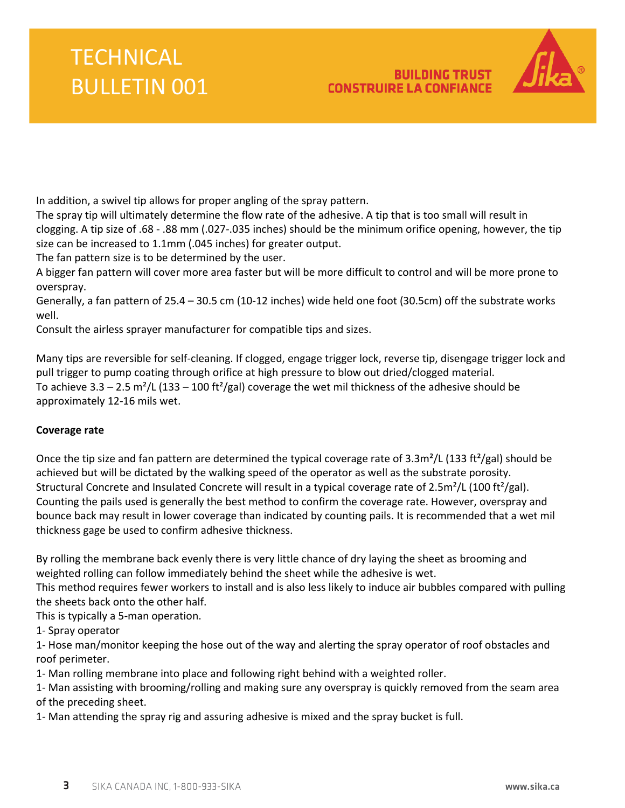### **BUILDING TRUST CONSTRUIRE LA CONFIANCE**



In addition, a swivel tip allows for proper angling of the spray pattern.

The spray tip will ultimately determine the flow rate of the adhesive. A tip that is too small will result in clogging. A tip size of .68 - .88 mm (.027-.035 inches) should be the minimum orifice opening, however, the tip size can be increased to 1.1mm (.045 inches) for greater output.

The fan pattern size is to be determined by the user.

A bigger fan pattern will cover more area faster but will be more difficult to control and will be more prone to overspray.

Generally, a fan pattern of 25.4 – 30.5 cm (10-12 inches) wide held one foot (30.5cm) off the substrate works well.

Consult the airless sprayer manufacturer for compatible tips and sizes.

Many tips are reversible for self-cleaning. If clogged, engage trigger lock, reverse tip, disengage trigger lock and pull trigger to pump coating through orifice at high pressure to blow out dried/clogged material. To achieve 3.3 – 2.5 m<sup>2</sup>/L (133 – 100 ft<sup>2</sup>/gal) coverage the wet mil thickness of the adhesive should be approximately 12-16 mils wet.

#### **Coverage rate**

Once the tip size and fan pattern are determined the typical coverage rate of  $3.3\text{m}^2/\text{L}$  (133 ft<sup>2</sup>/gal) should be achieved but will be dictated by the walking speed of the operator as well as the substrate porosity. Structural Concrete and Insulated Concrete will result in a typical coverage rate of  $2.5 \text{m}^2/\text{L}$  (100 ft<sup>2</sup>/gal). Counting the pails used is generally the best method to confirm the coverage rate. However, overspray and bounce back may result in lower coverage than indicated by counting pails. It is recommended that a wet mil thickness gage be used to confirm adhesive thickness.

By rolling the membrane back evenly there is very little chance of dry laying the sheet as brooming and weighted rolling can follow immediately behind the sheet while the adhesive is wet.

This method requires fewer workers to install and is also less likely to induce air bubbles compared with pulling the sheets back onto the other half.

This is typically a 5-man operation.

1- Spray operator

1- Hose man/monitor keeping the hose out of the way and alerting the spray operator of roof obstacles and roof perimeter.

1- Man rolling membrane into place and following right behind with a weighted roller.

1- Man assisting with brooming/rolling and making sure any overspray is quickly removed from the seam area of the preceding sheet.

1- Man attending the spray rig and assuring adhesive is mixed and the spray bucket is full.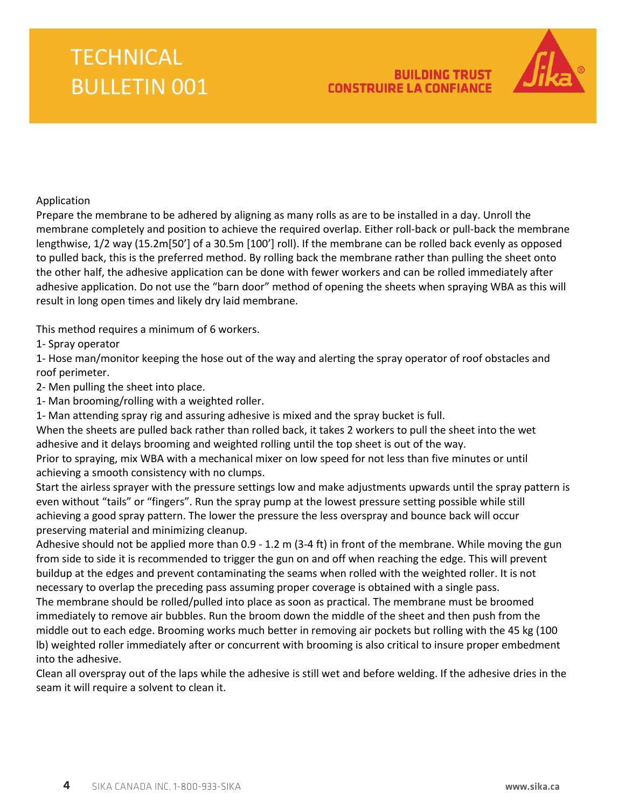### **BUILDING TRUST CONSTRUIRE LA CONFIANCE**



#### Application

Prepare the membrane to be adhered by aligning as many rolls as are to be installed in a day. Unroll the membrane completely and position to achieve the required overlap. Either roll-back or pull-back the membrane lengthwise, 1/2 way (15.2m[50'] of a 30.5m [100'] roll). If the membrane can be rolled back evenly as opposed to pulled back, this is the preferred method. By rolling back the membrane rather than pulling the sheet onto the other half, the adhesive application can be done with fewer workers and can be rolled immediately after adhesive application. Do not use the "barn door" method of opening the sheets when spraying WBA as this will result in long open times and likely dry laid membrane.

This method requires a minimum of 6 workers.

1- Spray operator

1- Hose man/monitor keeping the hose out of the way and alerting the spray operator of roof obstacles and roof perimeter.

2- Men pulling the sheet into place.

1- Man brooming/rolling with a weighted roller.

1- Man attending spray rig and assuring adhesive is mixed and the spray bucket is full.

When the sheets are pulled back rather than rolled back, it takes 2 workers to pull the sheet into the wet adhesive and it delays brooming and weighted rolling until the top sheet is out of the way.

Prior to spraying, mix WBA with a mechanical mixer on low speed for not less than five minutes or until achieving a smooth consistency with no clumps.

Start the airless sprayer with the pressure settings low and make adjustments upwards until the spray pattern is even without "tails" or "fingers". Run the spray pump at the lowest pressure setting possible while still achieving a good spray pattern. The lower the pressure the less overspray and bounce back will occur preserving material and minimizing cleanup.

Adhesive should not be applied more than 0.9 - 1.2 m (3-4 ft) in front of the membrane. While moving the gun from side to side it is recommended to trigger the gun on and off when reaching the edge. This will prevent buildup at the edges and prevent contaminating the seams when rolled with the weighted roller. It is not necessary to overlap the preceding pass assuming proper coverage is obtained with a single pass.

The membrane should be rolled/pulled into place as soon as practical. The membrane must be broomed immediately to remove air bubbles. Run the broom down the middle of the sheet and then push from the middle out to each edge. Brooming works much better in removing air pockets but rolling with the 45 kg (100 lb) weighted roller immediately after or concurrent with brooming is also critical to insure proper embedment into the adhesive.

Clean all overspray out of the laps while the adhesive is still wet and before welding. If the adhesive dries in the seam it will require a solvent to clean it.